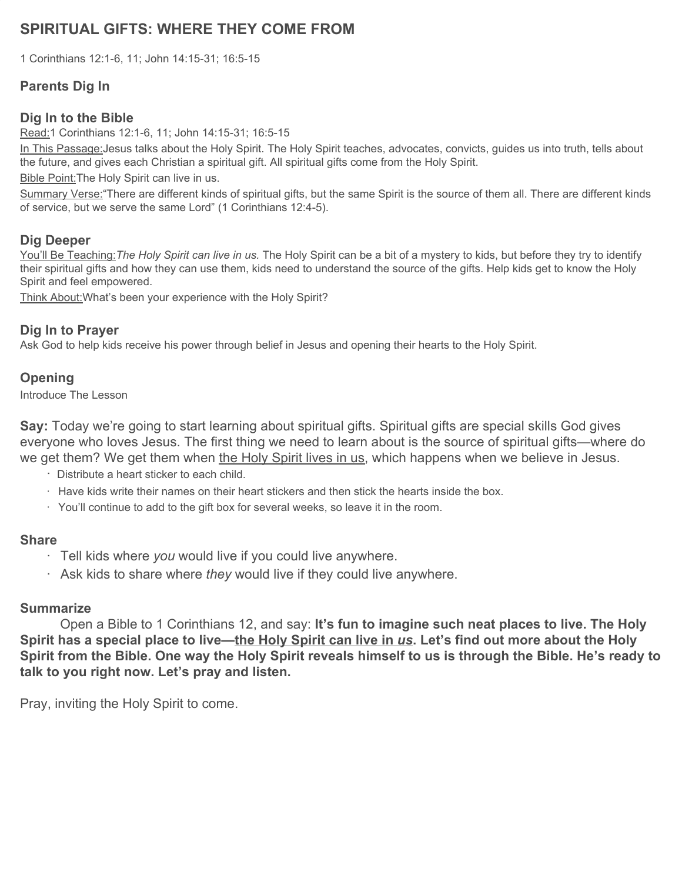# **SPIRITUAL GIFTS: WHERE THEY COME FROM**

1 Corinthians 12:1-6, 11; John 14:15-31; 16:5-15

# **Parents Dig In**

# **Dig In to the Bible**

Read:1 Corinthians 12:1-6, 11; John 14:15-31; 16:5-15

In This Passage: Jesus talks about the Holy Spirit. The Holy Spirit teaches, advocates, convicts, guides us into truth, tells about the future, and gives each Christian a spiritual gift. All spiritual gifts come from the Holy Spirit.

Bible Point: The Holy Spirit can live in us.

Summary Verse:"There are different kinds of spiritual gifts, but the same Spirit is the source of them all. There are different kinds of service, but we serve the same Lord" (1 Corinthians 12:4-5).

### **Dig Deeper**

You'll Be Teaching:*The Holy Spirit can live in us.* The Holy Spirit can be a bit of a mystery to kids, but before they try to identify their spiritual gifts and how they can use them, kids need to understand the source of the gifts. Help kids get to know the Holy Spirit and feel empowered.

Think About:What's been your experience with the Holy Spirit?

### **Dig In to Prayer**

Ask God to help kids receive his power through belief in Jesus and opening their hearts to the Holy Spirit.

# **Opening**

Introduce The Lesson

**Say:** Today we're going to start learning about spiritual gifts. Spiritual gifts are special skills God gives everyone who loves Jesus. The first thing we need to learn about is the source of spiritual gifts—where do we get them? We get them when the Holy Spirit lives in us, which happens when we believe in Jesus.

- · Distribute a heart sticker to each child.
- · Have kids write their names on their heart stickers and then stick the hearts inside the box.
- · You'll continue to add to the gift box for several weeks, so leave it in the room.

# **Share**

- · Tell kids where *you* would live if you could live anywhere.
- · Ask kids to share where *they* would live if they could live anywhere.

# **Summarize**

Open a Bible to 1 Corinthians 12, and say: **It's fun to imagine such neat places to live. The Holy Spirit has a special place to live—the Holy Spirit can live in** *us***. Let's find out more about the Holy Spirit from the Bible. One way the Holy Spirit reveals himself to us is through the Bible. He's ready to talk to you right now. Let's pray and listen.**

Pray, inviting the Holy Spirit to come.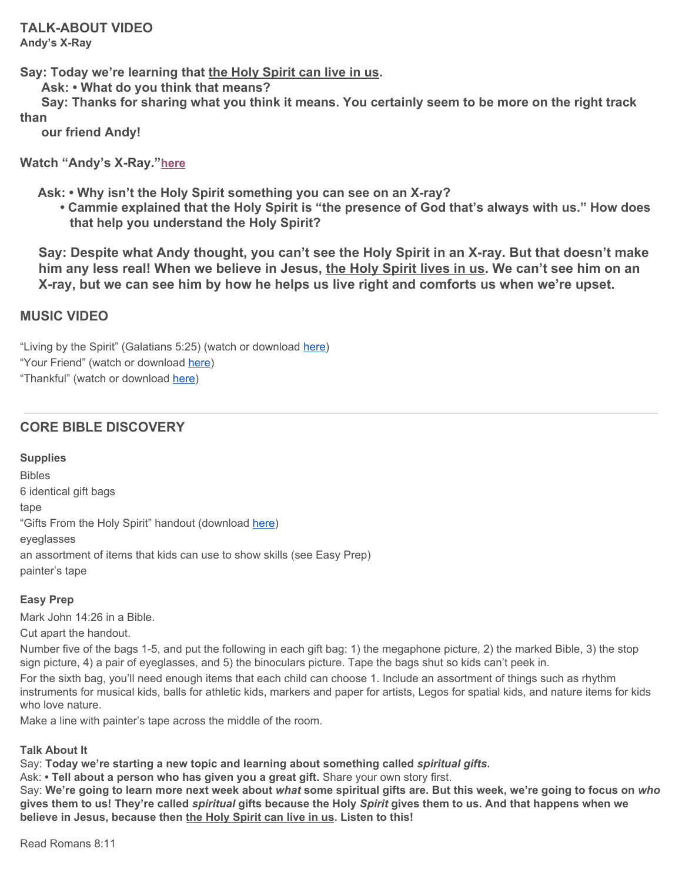**Say: Today we're learning that the Holy Spirit can live in us.**

**Ask: • What do you think that means?**

Say: Thanks for sharing what you think it means. You certainly seem to be more on the right track **than**

**our friend Andy!**

**Watch "Andy's X-Ray."[here](https://vimeo.com/showcase/6097677/video/345115248)**

**Ask: • Why isn't the Holy Spirit something you can see on an X-ray?**

**• Cammie explained that the Holy Spirit is "the presence of God that's always with us." How does that help you understand the Holy Spirit?**

 **Say: Despite what Andy thought, you can't see the Holy Spirit in an X-ray. But that doesn't make him any less real! When we believe in Jesus, the Holy Spirit lives in us. We can't see him on an X-ray, but we can see him by how he helps us live right and comforts us when we're upset.**

### **MUSIC VIDEO**

"Living by the Spirit" (Galatians 5:25) (watch or download [here](https://vimeo.com/showcase/6097677/video/345114007)) "Your Friend" (watch or download [here](https://vimeo.com/showcase/6097677/video/345114734)) "Thankful" (watch or download [here\)](https://vimeo.com/showcase/6097677/video/345114550)

# **CORE BIBLE DISCOVERY**

### **Supplies**

Bibles 6 identical gift bags tape "Gifts From the Holy Spirit" handout (download [here\)](https://digin-resources.group.com/media/10703/q2_lesson-10_gifts-from-the-holy-spirit_handout.pdf) eyeglasses an assortment of items that kids can use to show skills (see Easy Prep) painter's tape

### **Easy Prep**

Mark John 14:26 in a Bible.

Cut apart the handout.

Number five of the bags 1-5, and put the following in each gift bag: 1) the megaphone picture, 2) the marked Bible, 3) the stop sign picture, 4) a pair of eyeglasses, and 5) the binoculars picture. Tape the bags shut so kids can't peek in.

For the sixth bag, you'll need enough items that each child can choose 1. Include an assortment of things such as rhythm instruments for musical kids, balls for athletic kids, markers and paper for artists, Legos for spatial kids, and nature items for kids who love nature.

Make a line with painter's tape across the middle of the room.

### **Talk About It**

Say: **Today we're starting a new topic and learning about something called** *spiritual gifts***.**

Ask: **• Tell about a person who has given you a great gift.** Share your own story first.

Say: We're going to learn more next week about what some spiritual gifts are. But this week, we're going to focus on who gives them to us! They're called spiritual gifts because the Holy Spirit gives them to us. And that happens when we **believe in Jesus, because then the Holy Spirit can live in us. Listen to this!**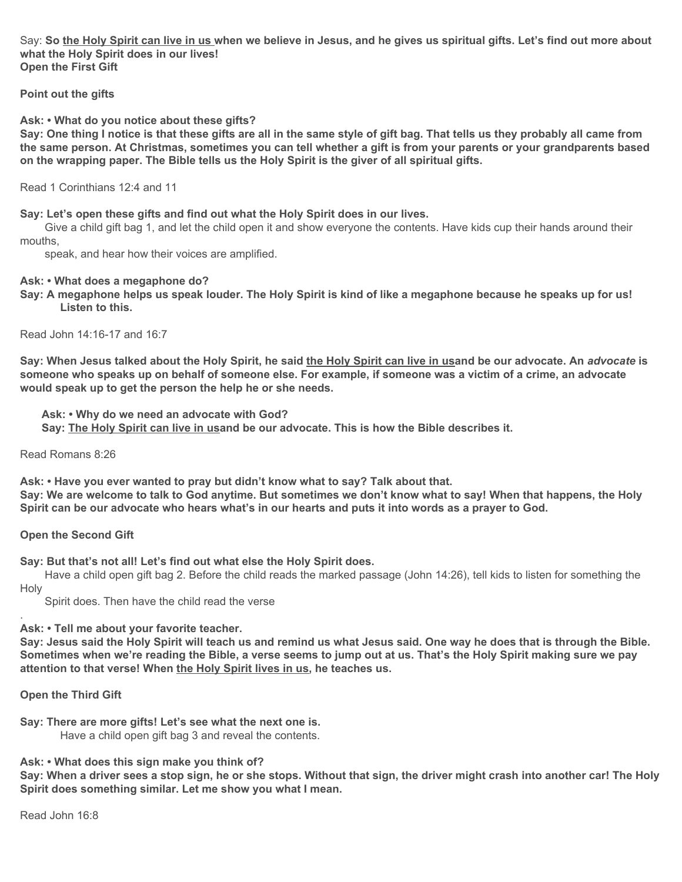Say: So the Holy Spirit can live in us when we believe in Jesus, and he gives us spiritual gifts. Let's find out more about **what the Holy Spirit does in our lives! Open the First Gift**

**Point out the gifts**

#### **Ask: • What do you notice about these gifts?**

Say: One thing I notice is that these gifts are all in the same style of gift bag. That tells us they probably all came from the same person. At Christmas, sometimes you can tell whether a gift is from your parents or your grandparents based **on the wrapping paper. The Bible tells us the Holy Spirit is the giver of all spiritual gifts.**

Read 1 Corinthians 12:4 and 11

#### **Say: Let's open these gifts and find out what the Holy Spirit does in our lives.**

Give a child gift bag 1, and let the child open it and show everyone the contents. Have kids cup their hands around their mouths,

speak, and hear how their voices are amplified.

#### **Ask: • What does a megaphone do?**

Say: A megaphone helps us speak louder. The Holy Spirit is kind of like a megaphone because he speaks up for us! **Listen to this.**

Read John 14:16-17 and 16:7

Say: When Jesus talked about the Holy Spirit, he said the Holy Spirit can live in usand be our advocate. An advocate is someone who speaks up on behalf of someone else. For example, if someone was a victim of a crime, an advocate **would speak up to get the person the help he or she needs.**

**Ask: • Why do we need an advocate with God?**

**Say: The Holy Spirit can live in usand be our advocate. This is how the Bible describes it.**

Read Romans 8:26

**Ask: • Have you ever wanted to pray but didn't know what to say? Talk about that.** Say: We are welcome to talk to God anytime. But sometimes we don't know what to say! When that happens, the Holy Spirit can be our advocate who hears what's in our hearts and puts it into words as a prayer to God.

#### **Open the Second Gift**

**Say: But that's not all! Let's find out what else the Holy Spirit does.**

Have a child open gift bag 2. Before the child reads the marked passage (John 14:26), tell kids to listen for something the Holy

Spirit does. Then have the child read the verse

**Ask: • Tell me about your favorite teacher.**

Say: Jesus said the Holy Spirit will teach us and remind us what Jesus said. One way he does that is through the Bible. Sometimes when we're reading the Bible, a verse seems to jump out at us. That's the Holy Spirit making sure we pay **attention to that verse! When the Holy Spirit lives in us, he teaches us.**

#### **Open the Third Gift**

.

**Say: There are more gifts! Let's see what the next one is.** Have a child open gift bag 3 and reveal the contents.

**Ask: • What does this sign make you think of?**

Say: When a driver sees a stop sign, he or she stops. Without that sign, the driver might crash into another car! The Holy **Spirit does something similar. Let me show you what I mean.**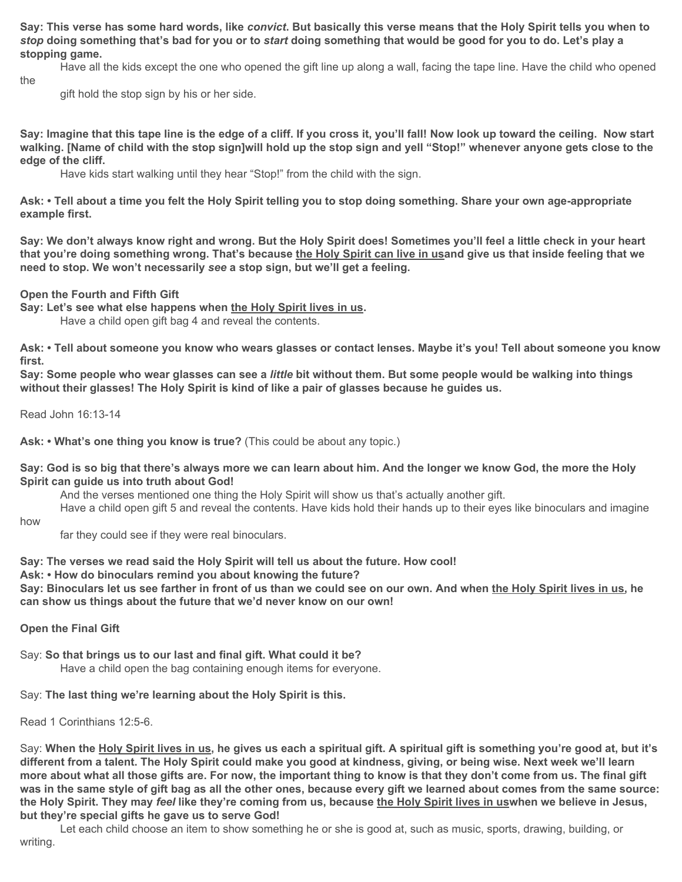Say: This verse has some hard words, like convict. But basically this verse means that the Holy Spirit tells you when to stop doing something that's bad for you or to start doing something that would be good for you to do. Let's play a **stopping game.**

Have all the kids except the one who opened the gift line up along a wall, facing the tape line. Have the child who opened the

gift hold the stop sign by his or her side.

Say: Imagine that this tape line is the edge of a cliff. If you cross it, you'll fall! Now look up toward the ceiling. Now start walking. [Name of child with the stop sign]will hold up the stop sign and yell "Stop!" whenever anyone gets close to the **edge of the cliff.**

Have kids start walking until they hear "Stop!" from the child with the sign.

Ask: • Tell about a time you felt the Holy Spirit telling you to stop doing something. Share your own age-appropriate **example first.**

Say: We don't always know right and wrong. But the Holy Spirit does! Sometimes you'll feel a little check in your heart that you're doing something wrong. That's because the Holy Spirit can live in usand give us that inside feeling that we **need to stop. We won't necessarily** *see* **a stop sign, but we'll get a feeling.**

**Open the Fourth and Fifth Gift**

**Say: Let's see what else happens when the Holy Spirit lives in us.**

Have a child open gift bag 4 and reveal the contents.

Ask: • Tell about someone you know who wears glasses or contact lenses. Maybe it's you! Tell about someone you know **first.**

Say: Some people who wear glasses can see a little bit without them. But some people would be walking into things **without their glasses! The Holy Spirit is kind of like a pair of glasses because he guides us.**

Read John 16:13-14

**Ask: • What's one thing you know is true?** (This could be about any topic.)

Say: God is so big that there's always more we can learn about him. And the longer we know God, the more the Holy **Spirit can guide us into truth about God!**

And the verses mentioned one thing the Holy Spirit will show us that's actually another gift.

Have a child open gift 5 and reveal the contents. Have kids hold their hands up to their eyes like binoculars and imagine

how

far they could see if they were real binoculars.

**Say: The verses we read said the Holy Spirit will tell us about the future. How cool!**

**Ask: • How do binoculars remind you about knowing the future?**

Say: Binoculars let us see farther in front of us than we could see on our own. And when the Holy Spirit lives in us, he **can show us things about the future that we'd never know on our own!**

**Open the Final Gift**

Say: **So that brings us to our last and final gift. What could it be?**

Have a child open the bag containing enough items for everyone.

Say: **The last thing we're learning about the Holy Spirit is this.**

Read 1 Corinthians 12:5-6.

Say: When the Holy Spirit lives in us, he gives us each a spiritual gift. A spiritual gift is something you're good at, but it's different from a talent. The Holy Spirit could make you good at kindness, giving, or being wise. Next week we'll learn more about what all those gifts are. For now, the important thing to know is that they don't come from us. The final gift was in the same style of gift bag as all the other ones, because every gift we learned about comes from the same source: the Holy Spirit. They may feel like they're coming from us, because the Holy Spirit lives in uswhen we believe in Jesus, **but they're special gifts he gave us to serve God!**

Let each child choose an item to show something he or she is good at, such as music, sports, drawing, building, or writing.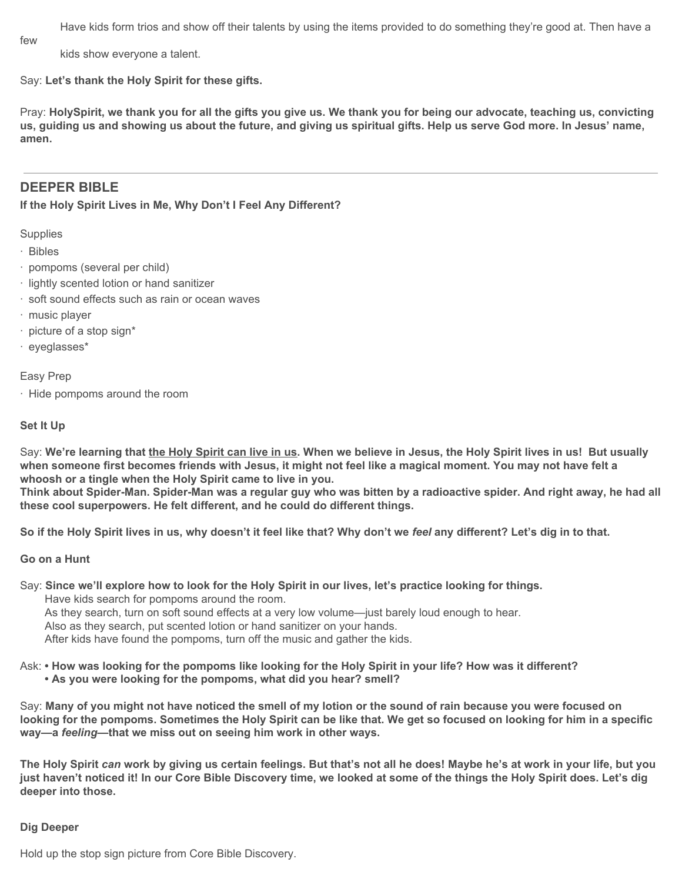Have kids form trios and show off their talents by using the items provided to do something they're good at. Then have a

few

kids show everyone a talent.

Say: **Let's thank the Holy Spirit for these gifts.**

Pray: HolySpirit, we thank you for all the gifts you give us. We thank you for being our advocate, teaching us, convicting us, guiding us and showing us about the future, and giving us spiritual gifts. Help us serve God more. In Jesus' name, **amen.**

### **DEEPER BIBLE**

**If the Holy Spirit Lives in Me, Why Don't I Feel Any Different?**

**Supplies** 

- · Bibles
- · pompoms (several per child)
- · lightly scented lotion or hand sanitizer
- · soft sound effects such as rain or ocean waves
- · music player
- · picture of a stop sign\*
- · eyeglasses\*

Easy Prep

· Hide pompoms around the room

#### **Set It Up**

Say: We're learning that the Holy Spirit can live in us. When we believe in Jesus, the Holy Spirit lives in us! But usually when someone first becomes friends with Jesus, it might not feel like a magical moment. You may not have felt a **whoosh or a tingle when the Holy Spirit came to live in you.**

Think about Spider-Man. Spider-Man was a regular guy who was bitten by a radioactive spider. And right away, he had all **these cool superpowers. He felt different, and he could do different things.**

So if the Holy Spirit lives in us, why doesn't it feel like that? Why don't we feel any different? Let's dig in to that.

#### **Go on a Hunt**

Say: Since we'll explore how to look for the Holy Spirit in our lives, let's practice looking for things. Have kids search for pompoms around the room. As they search, turn on soft sound effects at a very low volume—just barely loud enough to hear. Also as they search, put scented lotion or hand sanitizer on your hands.

After kids have found the pompoms, turn off the music and gather the kids.

Ask: • How was looking for the pompoms like looking for the Holy Spirit in your life? How was it different? **• As you were looking for the pompoms, what did you hear? smell?**

Say: Many of you might not have noticed the smell of my lotion or the sound of rain because you were focused on looking for the pompoms. Sometimes the Holy Spirit can be like that. We get so focused on looking for him in a specific **way—a** *feeling***—that we miss out on seeing him work in other ways.**

The Holy Spirit can work by giving us certain feelings. But that's not all he does! Maybe he's at work in your life, but you just haven't noticed it! In our Core Bible Discovery time, we looked at some of the things the Holy Spirit does. Let's dig **deeper into those.**

### **Dig Deeper**

Hold up the stop sign picture from Core Bible Discovery.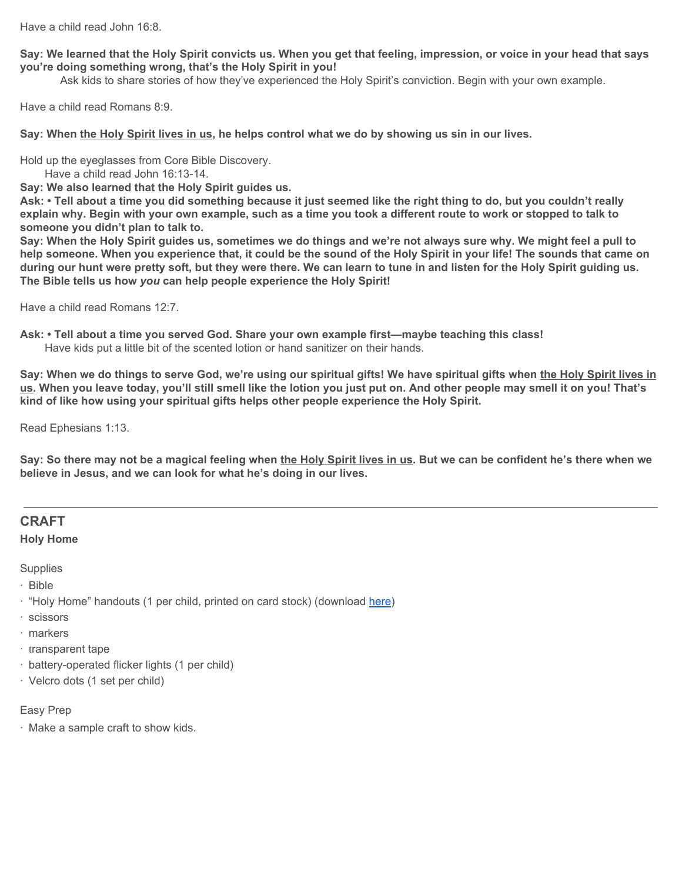Have a child read John 16:8.

#### Say: We learned that the Holy Spirit convicts us. When you get that feeling, impression, or voice in your head that says **you're doing something wrong, that's the Holy Spirit in you!**

Ask kids to share stories of how they've experienced the Holy Spirit's conviction. Begin with your own example.

Have a child read Romans 8:9.

Say: When the Holy Spirit lives in us, he helps control what we do by showing us sin in our lives.

Hold up the eyeglasses from Core Bible Discovery.

Have a child read John 16:13-14.

**Say: We also learned that the Holy Spirit guides us.**

Ask: • Tell about a time you did something because it just seemed like the right thing to do, but you couldn't really explain why. Begin with your own example, such as a time you took a different route to work or stopped to talk to **someone you didn't plan to talk to.**

Say: When the Holy Spirit guides us, sometimes we do things and we're not always sure why. We might feel a pull to help someone. When you experience that, it could be the sound of the Holy Spirit in your life! The sounds that came on during our hunt were pretty soft, but they were there. We can learn to tune in and listen for the Holy Spirit guiding us. **The Bible tells us how** *you* **can help people experience the Holy Spirit!**

Have a child read Romans 12:7.

**Ask: • Tell about a time you served God. Share your own example first—maybe teaching this class!** Have kids put a little bit of the scented lotion or hand sanitizer on their hands.

Say: When we do things to serve God, we're using our spiritual gifts! We have spiritual gifts when the Holy Spirit lives in us. When you leave today, you'll still smell like the lotion you just put on. And other people may smell it on you! That's **kind of like how using your spiritual gifts helps other people experience the Holy Spirit.**

Read Ephesians 1:13.

Say: So there may not be a magical feeling when the Holy Spirit lives in us. But we can be confident he's there when we **believe in Jesus, and we can look for what he's doing in our lives.**

### **CRAFT**

**Holy Home**

**Supplies** 

- · Bible
- · "Holy Home" handouts (1 per child, printed on card stock) (download [here](https://digin-resources.group.com/media/10704/q2_lesson-10_holy-home_handout.pdf))
- · scissors
- · markers
- · transparent tape
- · battery-operated flicker lights (1 per child)
- · Velcro dots (1 set per child)

### Easy Prep

· Make a sample craft to show kids.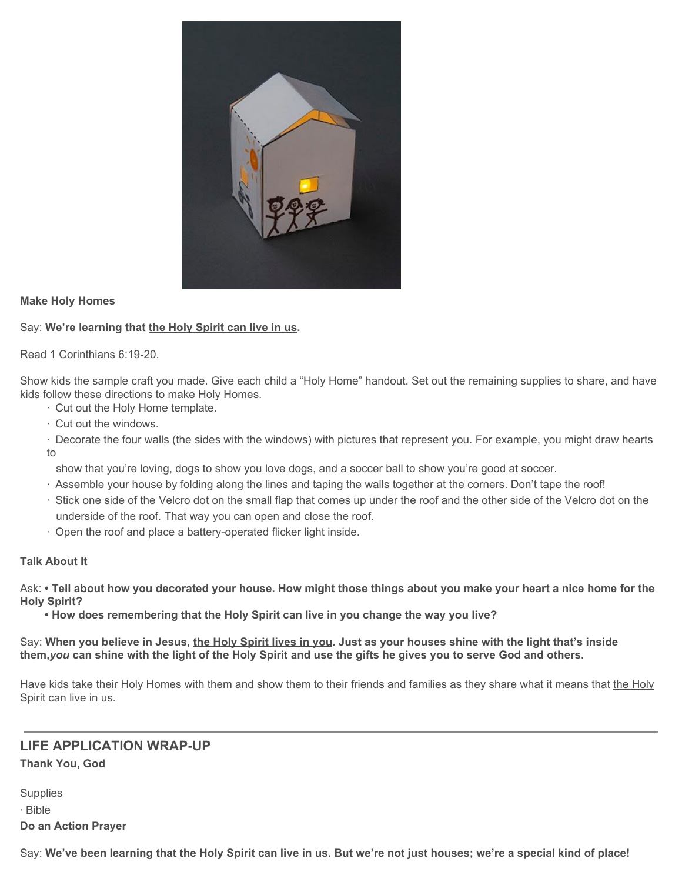

### **Make Holy Homes**

### Say: **We're learning that the Holy Spirit can live in us.**

Read 1 Corinthians 6:19-20.

Show kids the sample craft you made. Give each child a "Holy Home" handout. Set out the remaining supplies to share, and have kids follow these directions to make Holy Homes.

· Cut out the Holy Home template.

· Cut out the windows.

· Decorate the four walls (the sides with the windows) with pictures that represent you. For example, you might draw hearts to

show that you're loving, dogs to show you love dogs, and a soccer ball to show you're good at soccer.

- · Assemble your house by folding along the lines and taping the walls together at the corners. Don't tape the roof!
- · Stick one side of the Velcro dot on the small flap that comes up under the roof and the other side of the Velcro dot on the underside of the roof. That way you can open and close the roof.
- · Open the roof and place a battery-operated flicker light inside.

### **Talk About It**

Ask: • Tell about how you decorated your house. How might those things about you make your heart a nice home for the **Holy Spirit?**

**• How does remembering that the Holy Spirit can live in you change the way you live?**

Say: When you believe in Jesus, the Holy Spirit lives in you. Just as your houses shine with the light that's inside them, you can shine with the light of the Holy Spirit and use the gifts he gives you to serve God and others.

Have kids take their Holy Homes with them and show them to their friends and families as they share what it means that the Holy Spirit can live in us.

### **LIFE APPLICATION WRAP-UP**

**Thank You, God**

**Supplies** · Bible **Do an Action Prayer**

Say: We've been learning that the Holy Spirit can live in us. But we're not just houses; we're a special kind of place!